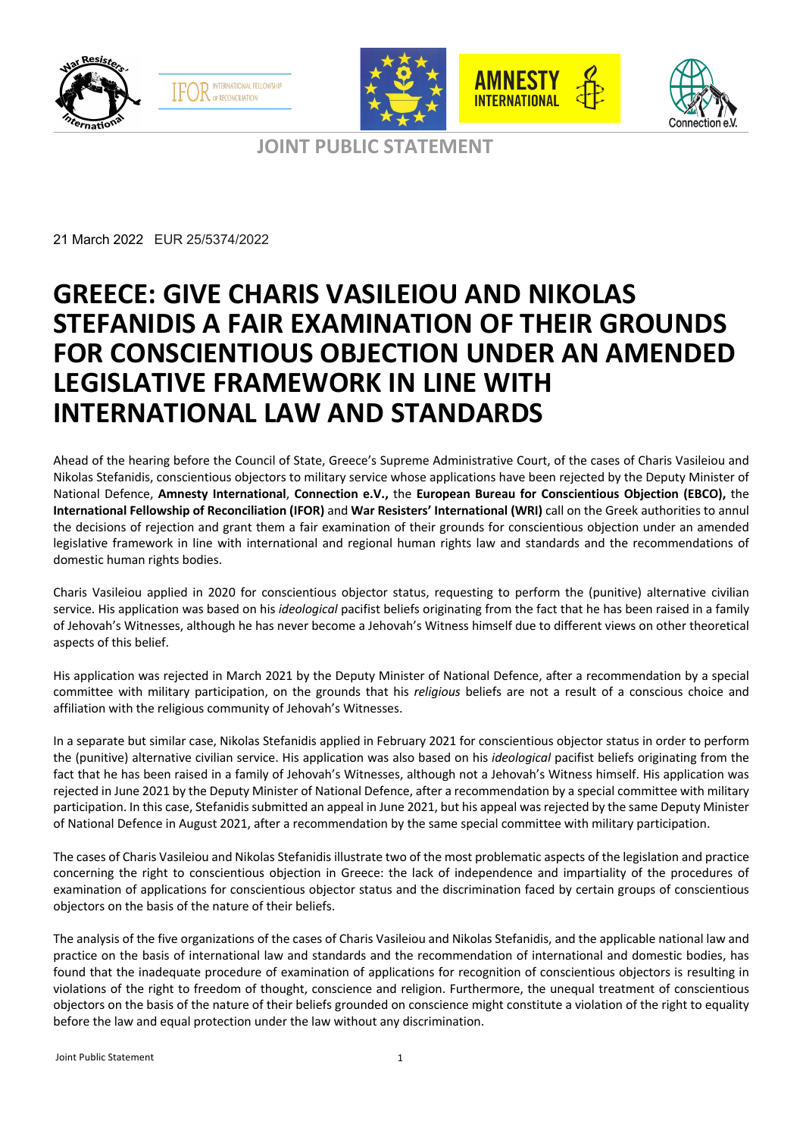



**JOINT PUBLIC STATEMENT**

 $\overline{a}$ 

21 March 2022 EUR 25/5374/2022

# **GREECE: GIVE CHARIS VASILEIOU AND NIKOLAS STEFANIDIS A FAIR EXAMINATION OF THEIR GROUNDS FOR CONSCIENTIOUS OBJECTION UNDER AN AMENDED LEGISLATIVE FRAMEWORK IN LINE WITH INTERNATIONAL LAW AND STANDARDS**

Ahead of the hearing before the Council of State, Greece's Supreme Administrative Court, of the cases of Charis Vasileiou and Nikolas Stefanidis, conscientious objectors to military service whose applications have been rejected by the Deputy Minister of National Defence, **Amnesty International**, **Connection e.V.,** the **European Bureau for Conscientious Objection (EBCO),** the **International Fellowship of Reconciliation (IFOR)** and **War Resisters' International (WRI)** call on the Greek authorities to annul the decisions of rejection and grant them a fair examination of their grounds for conscientious objection under an amended legislative framework in line with international and regional human rights law and standards and the recommendations of domestic human rights bodies.

Charis Vasileiou applied in 2020 for conscientious objector status, requesting to perform the (punitive) alternative civilian service. His application was based on his *ideological* pacifist beliefs originating from the fact that he has been raised in a family of Jehovah's Witnesses, although he has never become a Jehovah's Witness himself due to different views on other theoretical aspects of this belief.

His application was rejected in March 2021 by the Deputy Minister of National Defence, after a recommendation by a special committee with military participation, on the grounds that his *religious* beliefs are not a result of a conscious choice and affiliation with the religious community of Jehovah's Witnesses.

In a separate but similar case, Nikolas Stefanidis applied in February 2021 for conscientious objector status in order to perform the (punitive) alternative civilian service. His application was also based on his *ideological* pacifist beliefs originating from the fact that he has been raised in a family of Jehovah's Witnesses, although not a Jehovah's Witness himself. His application was rejected in June 2021 by the Deputy Minister of National Defence, after a recommendation by a special committee with military participation. In this case, Stefanidis submitted an appeal in June 2021, but his appeal was rejected by the same Deputy Minister of National Defence in August 2021, after a recommendation by the same special committee with military participation.

The cases of Charis Vasileiou and Nikolas Stefanidis illustrate two of the most problematic aspects of the legislation and practice concerning the right to conscientious objection in Greece: the lack of independence and impartiality of the procedures of examination of applications for conscientious objector status and the discrimination faced by certain groups of conscientious objectors on the basis of the nature of their beliefs.

The analysis of the five organizations of the cases of Charis Vasileiou and Nikolas Stefanidis, and the applicable national law and practice on the basis of international law and standards and the recommendation of international and domestic bodies, has found that the inadequate procedure of examination of applications for recognition of conscientious objectors is resulting in violations of the right to freedom of thought, conscience and religion. Furthermore, the unequal treatment of conscientious objectors on the basis of the nature of their beliefs grounded on conscience might constitute a violation of the right to equality before the law and equal protection under the law without any discrimination.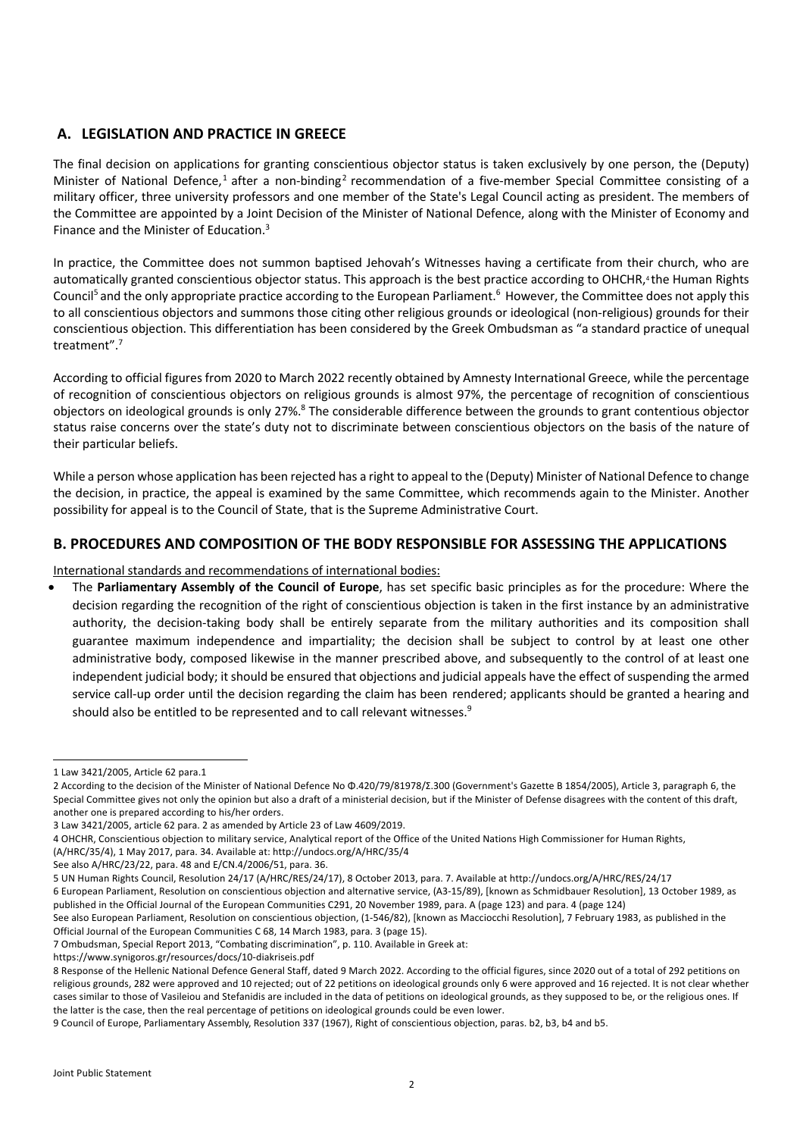# **A. LEGISLATION AND PRACTICE IN GREECE**

The final decision on applications for granting conscientious objector status is taken exclusively by one person, the (Deputy) Minister of National Defence,<sup>1</sup> after a non-binding<sup>2</sup> recommendation of a five-member Special Committee consisting of a military officer, three university professors and one member of the State's Legal Council acting as president. The members of the Committee are appointed by a Joint Decision of the Minister of National Defence, along with the Minister of Economy and Finance and the Minister of Education.3

In practice, the Committee does not summon baptised Jehovah's Witnesses having a certificate from their church, who are automatically granted conscientious objector status. This approach is the best practice according to OHCHR,<sup>4</sup> the Human Rights Council<sup>5</sup> and the only appropriate practice according to the European Parliament.<sup>6</sup> However, the Committee does not apply this to all conscientious objectors and summons those citing other religious grounds or ideological (non-religious) grounds for their conscientious objection. This differentiation has been considered by the Greek Ombudsman as "a standard practice of unequal treatment".7

According to official figures from 2020 to March 2022 recently obtained by Amnesty International Greece, while the percentage of recognition of conscientious objectors on religious grounds is almost 97%, the percentage of recognition of conscientious objectors on ideological grounds is only 27%.<sup>8</sup> The considerable difference between the grounds to grant contentious objector status raise concerns over the state's duty not to discriminate between conscientious objectors on the basis of the nature of their particular beliefs.

While a person whose application has been rejected has a right to appeal to the (Deputy) Minister of National Defence to change the decision, in practice, the appeal is examined by the same Committee, which recommends again to the Minister. Another possibility for appeal is to the Council of State, that is the Supreme Administrative Court.

# **B. PROCEDURES AND COMPOSITION OF THE BODY RESPONSIBLE FOR ASSESSING THE APPLICATIONS**

## International standards and recommendations of international bodies:

• The **Parliamentary Assembly of the Council of Europe**, has set specific basic principles as for the procedure: Where the decision regarding the recognition of the right of conscientious objection is taken in the first instance by an administrative authority, the decision-taking body shall be entirely separate from the military authorities and its composition shall guarantee maximum independence and impartiality; the decision shall be subject to control by at least one other administrative body, composed likewise in the manner prescribed above, and subsequently to the control of at least one independent judicial body; it should be ensured that objections and judicial appeals have the effect of suspending the armed service call-up order until the decision regarding the claim has been rendered; applicants should be granted a hearing and should also be entitled to be represented and to call relevant witnesses.<sup>9</sup>

https://www.synigoros.gr/resources/docs/10-diakriseis.pdf

<sup>1</sup> Law 3421/2005, Article 62 para.1

<sup>2</sup> According to the decision of the Minister of National Defence No Φ.420/79/81978/Σ.300 (Government's Gazette B 1854/2005), Article 3, paragraph 6, the Special Committee gives not only the opinion but also a draft of a ministerial decision, but if the Minister of Defense disagrees with the content of this draft, another one is prepared according to his/her orders.

<sup>3</sup> Law 3421/2005, article 62 para. 2 as amended by Article 23 of Law 4609/2019.

<sup>4</sup> OHCHR, Conscientious objection to military service, Analytical report of the Office of the United Nations High Commissioner for Human Rights, (A/HRC/35/4), 1 May 2017, para. 34. Available at: http://undocs.org/A/HRC/35/4

See also A/HRC/23/22, para. 48 and E/CN.4/2006/51, para. 36.

<sup>5</sup> UN Human Rights Council, Resolution 24/17 (A/HRC/RES/24/17), 8 October 2013, para. 7. Available at http://undocs.org/A/HRC/RES/24/17

<sup>6</sup> European Parliament, Resolution on conscientious objection and alternative service, (Α3-15/89), [known as Schmidbauer Resolution], 13 October 1989, as published in the Official Journal of the European Communities C291, 20 November 1989, para. Α (page 123) and para. 4 (page 124)

See also European Parliament, Resolution on conscientious objection, (1-546/82), [known as Macciocchi Resolution], 7 February 1983, as published in the Official Journal of the European Communities C 68, 14 March 1983, para. 3 (page 15).

<sup>7</sup> Ombudsman, Special Report 2013, "Combating discrimination", p. 110. Available in Greek at:

<sup>8</sup> Response of the Hellenic National Defence General Staff, dated 9 March 2022. According to the official figures, since 2020 out of a total of 292 petitions on religious grounds, 282 were approved and 10 rejected; out of 22 petitions on ideological grounds only 6 were approved and 16 rejected. It is not clear whether cases similar to those of Vasileiou and Stefanidis are included in the data of petitions on ideological grounds, as they supposed to be, or the religious ones. If the latter is the case, then the real percentage of petitions on ideological grounds could be even lower.

<sup>9</sup> Council of Europe, Parliamentary Assembly, Resolution 337 (1967), Right of conscientious objection, paras. b2, b3, b4 and b5.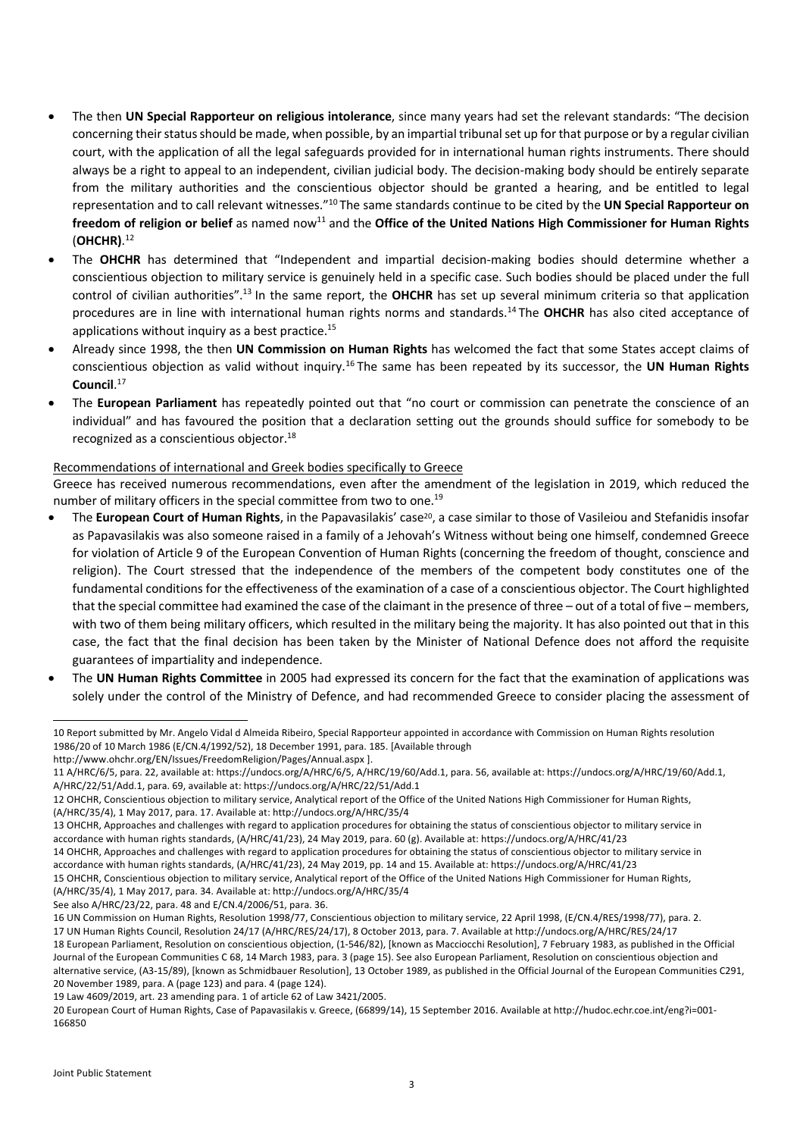- The then **UN Special Rapporteur on religious intolerance**, since many years had set the relevant standards: "The decision concerning their status should be made, when possible, by an impartial tribunal set up for that purpose or by a regular civilian court, with the application of all the legal safeguards provided for in international human rights instruments. There should always be a right to appeal to an independent, civilian judicial body. The decision-making body should be entirely separate from the military authorities and the conscientious objector should be granted a hearing, and be entitled to legal representation and to call relevant witnesses."10 The same standards continue to be cited by the **UN Special Rapporteur on**  freedom of religion or belief as named now<sup>11</sup> and the Office of the United Nations High Commissioner for Human Rights (**OHCHR)**. 12
- The **OHCHR** has determined that "Independent and impartial decision-making bodies should determine whether a conscientious objection to military service is genuinely held in a specific case. Such bodies should be placed under the full control of civilian authorities".13 In the same report, the **OHCHR** has set up several minimum criteria so that application procedures are in line with international human rights norms and standards.14 The **OHCHR** has also cited acceptance of applications without inquiry as a best practice. $15$
- Already since 1998, the then **UN Commission on Human Rights** has welcomed the fact that some States accept claims of conscientious objection as valid without inquiry.16 The same has been repeated by its successor, the **UN Human Rights Council**. 17
- The **European Parliament** has repeatedly pointed out that "no court or commission can penetrate the conscience of an individual" and has favoured the position that a declaration setting out the grounds should suffice for somebody to be recognized as a conscientious objector.18

### Recommendations of international and Greek bodies specifically to Greece

Greece has received numerous recommendations, even after the amendment of the legislation in 2019, which reduced the number of military officers in the special committee from two to one.<sup>19</sup>

- The **European Court of Human Rights**, in the Papavasilakis' case<sup>20</sup>, a case similar to those of Vasileiou and Stefanidis insofar as Papavasilakis was also someone raised in a family of a Jehovah's Witness without being one himself, condemned Greece for violation of Article 9 of the European Convention of Human Rights (concerning the freedom of thought, conscience and religion). The Court stressed that the independence of the members of the competent body constitutes one of the fundamental conditions for the effectiveness of the examination of a case of a conscientious objector. The Court highlighted that the special committee had examined the case of the claimant in the presence of three – out of a total of five – members, with two of them being military officers, which resulted in the military being the majority. It has also pointed out that in this case, the fact that the final decision has been taken by the Minister of National Defence does not afford the requisite guarantees of impartiality and independence.
- The **UN Human Rights Committee** in 2005 had expressed its concern for the fact that the examination of applications was solely under the control of the Ministry of Defence, and had recommended Greece to consider placing the assessment of

See also A/HRC/23/22, para. 48 and E/CN.4/2006/51, para. 36.

17 UN Human Rights Council, Resolution 24/17 (A/HRC/RES/24/17), 8 October 2013, para. 7. Available at http://undocs.org/A/HRC/RES/24/17 18 European Parliament, Resolution on conscientious objection, (1-546/82), [known as Macciocchi Resolution], 7 February 1983, as published in the Official Journal of the European Communities C 68, 14 March 1983, para. 3 (page 15). See also European Parliament, Resolution on conscientious objection and alternative service, (Α3-15/89), [known as Schmidbauer Resolution], 13 October 1989, as published in the Official Journal of the European Communities C291, 20 November 1989, para. Α (page 123) and para. 4 (page 124).

19 Law 4609/2019, art. 23 amending para. 1 of article 62 of Law 3421/2005.

<sup>10</sup> Report submitted by Mr. Angelo Vidal d Almeida Ribeiro, Special Rapporteur appointed in accordance with Commission on Human Rights resolution 1986/20 of 10 March 1986 (E/CN.4/1992/52), 18 December 1991, para. 185. [Available through

http://www.ohchr.org/EN/Issues/FreedomReligion/Pages/Annual.aspx ].

<sup>11</sup> A/HRC/6/5, para. 22, available at: https://undocs.org/A/HRC/6/5, A/HRC/19/60/Add.1, para. 56, available at: https://undocs.org/A/HRC/19/60/Add.1, A/HRC/22/51/Add.1, para. 69, available at: https://undocs.org/A/HRC/22/51/Add.1

<sup>12</sup> OHCHR, Conscientious objection to military service, Analytical report of the Office of the United Nations High Commissioner for Human Rights, (A/HRC/35/4), 1 May 2017, para. 17. Available at: http://undocs.org/A/HRC/35/4

<sup>13</sup> OHCHR, Approaches and challenges with regard to application procedures for obtaining the status of conscientious objector to military service in accordance with human rights standards, (A/HRC/41/23), 24 May 2019, para. 60 (g). Available at: https://undocs.org/A/HRC/41/23

<sup>14</sup> OHCHR, Approaches and challenges with regard to application procedures for obtaining the status of conscientious objector to military service in accordance with human rights standards, (A/HRC/41/23), 24 May 2019, pp. 14 and 15. Available at: https://undocs.org/A/HRC/41/23

<sup>15</sup> OHCHR, Conscientious objection to military service, Analytical report of the Office of the United Nations High Commissioner for Human Rights, (A/HRC/35/4), 1 May 2017, para. 34. Available at: http://undocs.org/A/HRC/35/4

<sup>16</sup> UN Commission on Human Rights, Resolution 1998/77, Conscientious objection to military service, 22 April 1998, (E/CN.4/RES/1998/77), para. 2.

<sup>20</sup> European Court of Human Rights, Case of Papavasilakis v. Greece, (66899/14), 15 September 2016. Available at http://hudoc.echr.coe.int/eng?i=001- 166850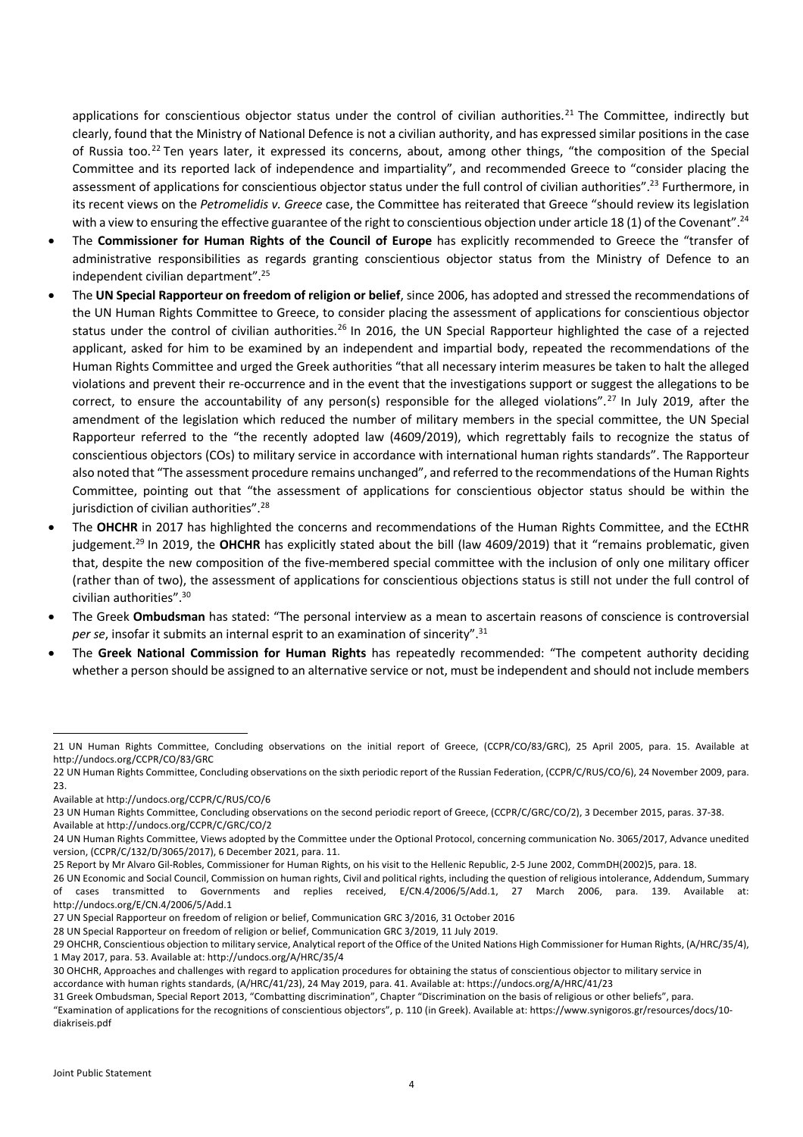applications for conscientious objector status under the control of civilian authorities.<sup>21</sup> The Committee, indirectly but clearly, found that the Ministry of National Defence is not a civilian authority, and has expressed similar positions in the case of Russia too.22 Ten years later, it expressed its concerns, about, among other things, "the composition of the Special Committee and its reported lack of independence and impartiality", and recommended Greece to "consider placing the assessment of applications for conscientious objector status under the full control of civilian authorities".<sup>23</sup> Furthermore, in its recent views on the *Petromelidis v. Greece* case, the Committee has reiterated that Greece "should review its legislation with a view to ensuring the effective guarantee of the right to conscientious objection under article 18 (1) of the Covenant".<sup>24</sup>

- The **Commissioner for Human Rights of the Council of Europe** has explicitly recommended to Greece the "transfer of administrative responsibilities as regards granting conscientious objector status from the Ministry of Defence to an independent civilian department".25
- The **UN Special Rapporteur on freedom of religion or belief**, since 2006, has adopted and stressed the recommendations of the UN Human Rights Committee to Greece, to consider placing the assessment of applications for conscientious objector status under the control of civilian authorities.<sup>26</sup> In 2016, the UN Special Rapporteur highlighted the case of a rejected applicant, asked for him to be examined by an independent and impartial body, repeated the recommendations of the Human Rights Committee and urged the Greek authorities "that all necessary interim measures be taken to halt the alleged violations and prevent their re-occurrence and in the event that the investigations support or suggest the allegations to be correct, to ensure the accountability of any person(s) responsible for the alleged violations".<sup>27</sup> In July 2019, after the amendment of the legislation which reduced the number of military members in the special committee, the UN Special Rapporteur referred to the "the recently adopted law (4609/2019), which regrettably fails to recognize the status of conscientious objectors (COs) to military service in accordance with international human rights standards". The Rapporteur also noted that "The assessment procedure remains unchanged", and referred to the recommendations of the Human Rights Committee, pointing out that "the assessment of applications for conscientious objector status should be within the jurisdiction of civilian authorities".<sup>28</sup>
- The **OHCHR** in 2017 has highlighted the concerns and recommendations of the Human Rights Committee, and the ECtHR judgement.<sup>29</sup> In 2019, the OHCHR has explicitly stated about the bill (law 4609/2019) that it "remains problematic, given that, despite the new composition of the five-membered special committee with the inclusion of only one military officer (rather than of two), the assessment of applications for conscientious objections status is still not under the full control of civilian authorities".30
- The Greek **Ombudsman** has stated: "The personal interview as a mean to ascertain reasons of conscience is controversial per se, insofar it submits an internal esprit to an examination of sincerity".<sup>31</sup>
- The **Greek National Commission for Human Rights** has repeatedly recommended: "The competent authority deciding whether a person should be assigned to an alternative service or not, must be independent and should not include members

28 UN Special Rapporteur on freedom of religion or belief, Communication GRC 3/2019, 11 July 2019.

"Examination of applications for the recognitions of conscientious objectors", p. 110 (in Greek). Available at: https://www.synigoros.gr/resources/docs/10 diakriseis.pdf

<sup>21</sup> UN Human Rights Committee, Concluding observations on the initial report of Greece, (CCPR/CO/83/GRC), 25 April 2005, para. 15. Available at http://undocs.org/CCPR/CO/83/GRC

<sup>22</sup> UN Human Rights Committee, Concluding observations on the sixth periodic report of the Russian Federation, (CCPR/C/RUS/CO/6), 24 November 2009, para.  $23$ 

Available at http://undocs.org/CCPR/C/RUS/CO/6

<sup>23</sup> UN Human Rights Committee, Concluding observations on the second periodic report of Greece, (CCPR/C/GRC/CO/2), 3 December 2015, paras. 37-38. Available at http://undocs.org/CCPR/C/GRC/CO/2

<sup>24</sup> UN Human Rights Committee, Views adopted by the Committee under the Optional Protocol, concerning communication No. 3065/2017, Advance unedited version, (CCPR/C/132/D/3065/2017), 6 December 2021, para. 11.

<sup>25</sup> Report by Mr Alvaro Gil-Robles, Commissioner for Human Rights, on his visit to the Hellenic Republic, 2-5 June 2002, CommDH(2002)5, para. 18.

<sup>26</sup> UN Economic and Social Council, Commission on human rights, Civil and political rights, including the question of religious intolerance, Addendum, Summary of cases transmitted to Governments and replies received, E/CN.4/2006/5/Add.1, 27 March 2006, para. 139. Available at: http://undocs.org/E/CN.4/2006/5/Add.1

<sup>27</sup> UN Special Rapporteur on freedom of religion or belief, Communication GRC 3/2016, 31 October 2016

<sup>29</sup> OHCHR, Conscientious objection to military service, Analytical report of the Office of the United Nations High Commissioner for Human Rights, (A/HRC/35/4), 1 May 2017, para. 53. Available at: http://undocs.org/A/HRC/35/4

<sup>30</sup> OHCHR, Approaches and challenges with regard to application procedures for obtaining the status of conscientious objector to military service in accordance with human rights standards, (A/HRC/41/23), 24 May 2019, para. 41. Available at: https://undocs.org/A/HRC/41/23

<sup>31</sup> Greek Ombudsman, Special Report 2013, "Combatting discrimination", Chapter "Discrimination on the basis of religious or other beliefs", para.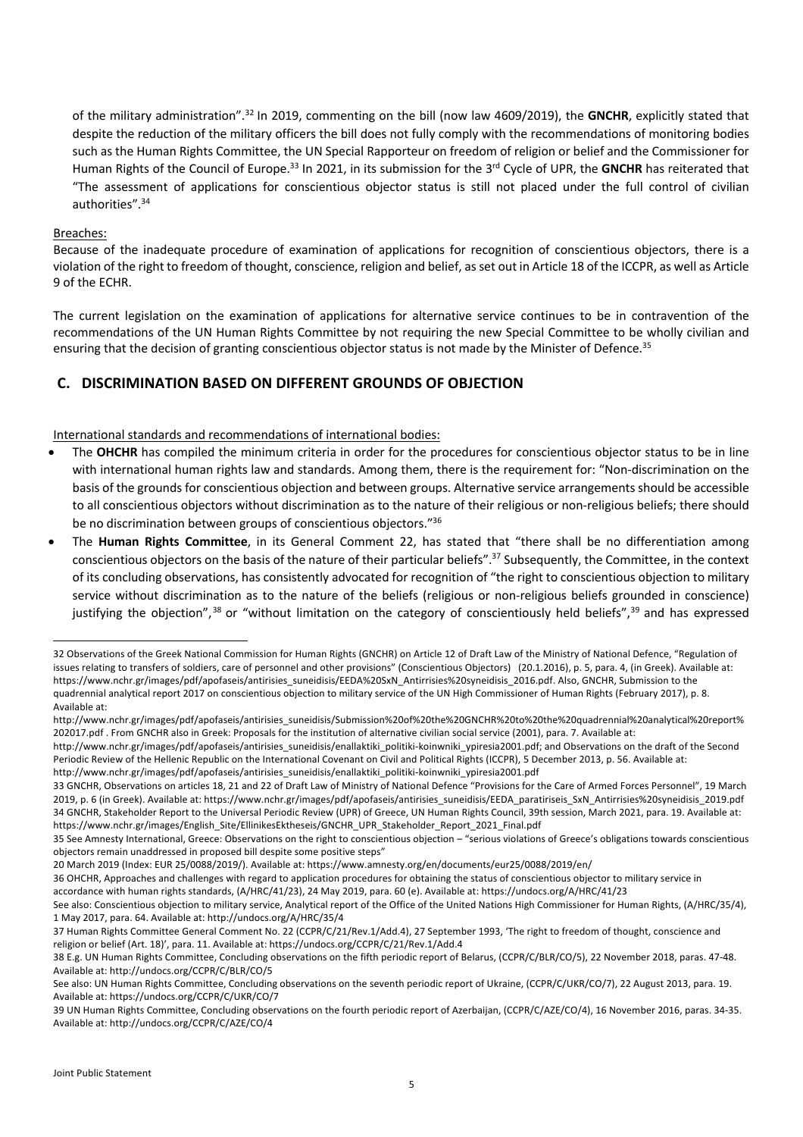of the military administration".32 In 2019, commenting on the bill (now law 4609/2019), the **GNCHR**, explicitly stated that despite the reduction of the military officers the bill does not fully comply with the recommendations of monitoring bodies such as the Human Rights Committee, the UN Special Rapporteur on freedom of religion or belief and the Commissioner for Human Rights of the Council of Europe.<sup>33</sup> In 2021, in its submission for the 3<sup>rd</sup> Cycle of UPR, the GNCHR has reiterated that "The assessment of applications for conscientious objector status is still not placed under the full control of civilian authorities".34

## Breaches:

Because of the inadequate procedure of examination of applications for recognition of conscientious objectors, there is a violation of the right to freedom of thought, conscience, religion and belief, as set out in Article 18 of the ICCPR, as well as Article 9 of the ECHR.

The current legislation on the examination of applications for alternative service continues to be in contravention of the recommendations of the UN Human Rights Committee by not requiring the new Special Committee to be wholly civilian and ensuring that the decision of granting conscientious objector status is not made by the Minister of Defence.<sup>35</sup>

# **C. DISCRIMINATION BASED ON DIFFERENT GROUNDS OF OBJECTION**

## International standards and recommendations of international bodies:

- The OHCHR has compiled the minimum criteria in order for the procedures for conscientious objector status to be in line with international human rights law and standards. Among them, there is the requirement for: "Non-discrimination on the basis of the grounds for conscientious objection and between groups. Alternative service arrangements should be accessible to all conscientious objectors without discrimination as to the nature of their religious or non-religious beliefs; there should be no discrimination between groups of conscientious objectors."36
- The **Human Rights Committee**, in its General Comment 22, has stated that "there shall be no differentiation among conscientious objectors on the basis of the nature of their particular beliefs".37 Subsequently, the Committee, in the context of its concluding observations, has consistently advocated for recognition of "the right to conscientious objection to military service without discrimination as to the nature of the beliefs (religious or non-religious beliefs grounded in conscience) justifying the objection",<sup>38</sup> or "without limitation on the category of conscientiously held beliefs",<sup>39</sup> and has expressed

<sup>32</sup> Observations of the Greek National Commission for Human Rights (GNCHR) on Article 12 of Draft Law of the Ministry of National Defence, "Regulation of issues relating to transfers of soldiers, care of personnel and other provisions" (Conscientious Objectors) (20.1.2016), p. 5, para. 4, (in Greek). Available at: https://www.nchr.gr/images/pdf/apofaseis/antirisies\_suneidisis/EEDA%20SxN\_Antirrisies%20syneidisis\_2016.pdf. Also, GNCHR, Submission to the quadrennial analytical report 2017 on conscientious objection to military service of the UN High Commissioner of Human Rights (February 2017), p. 8. Available at:

http://www.nchr.gr/images/pdf/apofaseis/antirisies\_suneidisis/Submission%20of%20the%20GNCHR%20to%20the%20quadrennial%20analytical%20report% 202017.pdf . From GNCHR also in Greek: Proposals for the institution of alternative civilian social service (2001), para. 7. Available at:

http://www.nchr.gr/images/pdf/apofaseis/antirisies\_suneidisis/enallaktiki\_politiki-koinwniki\_ypiresia2001.pdf; and Observations on the draft of the Second Periodic Review of the Hellenic Republic on the International Covenant on Civil and Political Rights (ICCPR), 5 December 2013, p. 56. Available at: http://www.nchr.gr/images/pdf/apofaseis/antirisies\_suneidisis/enallaktiki\_politiki-koinwniki\_ypiresia2001.pdf

<sup>33</sup> GNCHR, Observations on articles 18, 21 and 22 of Draft Law of Ministry of National Defence "Provisions for the Care of Armed Forces Personnel", 19 March 2019, p. 6 (in Greek). Available at: https://www.nchr.gr/images/pdf/apofaseis/antirisies\_suneidisis/EEDA\_paratiriseis\_SxN\_Antirrisies%20syneidisis\_2019.pdf 34 GNCHR, Stakeholder Report to the Universal Periodic Review (UPR) of Greece, UN Human Rights Council, 39th session, March 2021, para. 19. Available at: https://www.nchr.gr/images/English\_Site/EllinikesEktheseis/GNCHR\_UPR\_Stakeholder\_Report\_2021\_Final.pdf

<sup>35</sup> See Amnesty International, Greece: Observations on the right to conscientious objection – "serious violations of Greece's obligations towards conscientious objectors remain unaddressed in proposed bill despite some positive steps"

<sup>20</sup> March 2019 (Index: EUR 25/0088/2019/). Available at: https://www.amnesty.org/en/documents/eur25/0088/2019/en/

<sup>36</sup> OHCHR, Approaches and challenges with regard to application procedures for obtaining the status of conscientious objector to military service in accordance with human rights standards, (A/HRC/41/23), 24 May 2019, para. 60 (e). Available at: https://undocs.org/A/HRC/41/23

See also: Conscientious objection to military service, Analytical report of the Office of the United Nations High Commissioner for Human Rights, (A/HRC/35/4), 1 May 2017, para. 64. Available at: http://undocs.org/A/HRC/35/4

<sup>37</sup> Human Rights Committee General Comment No. 22 (CCPR/C/21/Rev.1/Add.4), 27 September 1993, 'The right to freedom of thought, conscience and religion or belief (Art. 18)', para. 11. Available at: https://undocs.org/CCPR/C/21/Rev.1/Add.4

<sup>38</sup> E.g. UN Human Rights Committee, Concluding observations on the fifth periodic report of Belarus, (CCPR/C/BLR/CO/5), 22 November 2018, paras. 47-48. Available at: http://undocs.org/CCPR/C/BLR/CO/5

See also: UN Human Rights Committee, Concluding observations on the seventh periodic report of Ukraine, (CCPR/C/UKR/CO/7), 22 August 2013, para. 19. Available at: https://undocs.org/CCPR/C/UKR/CO/7

<sup>39</sup> UN Human Rights Committee, Concluding observations on the fourth periodic report of Azerbaijan, (CCPR/C/AZE/CO/4), 16 November 2016, paras. 34-35. Available at: http://undocs.org/CCPR/C/AZE/CO/4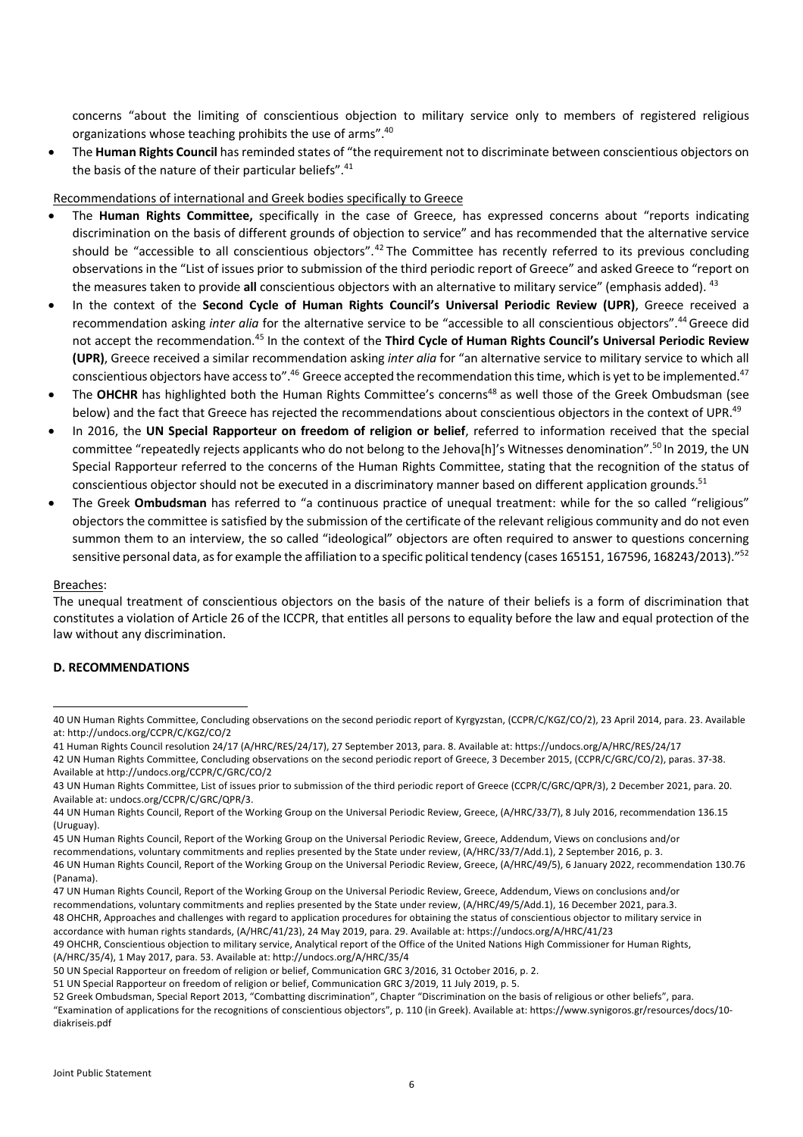concerns "about the limiting of conscientious objection to military service only to members of registered religious organizations whose teaching prohibits the use of arms".40

• The **Human Rights Council** has reminded states of "the requirement not to discriminate between conscientious objectors on the basis of the nature of their particular beliefs".<sup>41</sup>

#### Recommendations of international and Greek bodies specifically to Greece

- The **Human Rights Committee,** specifically in the case of Greece, has expressed concerns about "reports indicating discrimination on the basis of different grounds of objection to service" and has recommended that the alternative service should be "accessible to all conscientious objectors".<sup>42</sup> The Committee has recently referred to its previous concluding observations in the "List of issues prior to submission of the third periodic report of Greece" and asked Greece to "report on the measures taken to provide **all** conscientious objectors with an alternative to military service" (emphasis added). 43
- In the context of the **Second Cycle of Human Rights Council's Universal Periodic Review (UPR)**, Greece received a recommendation asking *inter alia* for the alternative service to be "accessible to all conscientious objectors".44Greece did not accept the recommendation.45 In the context of the **Third Cycle of Human Rights Council's Universal Periodic Review (UPR)**, Greece received a similar recommendation asking *inter alia* for "an alternative service to military service to which all conscientious objectors have access to".<sup>46</sup> Greece accepted the recommendation this time, which is yet to be implemented.<sup>47</sup>
- The **OHCHR** has highlighted both the Human Rights Committee's concerns<sup>48</sup> as well those of the Greek Ombudsman (see below) and the fact that Greece has rejected the recommendations about conscientious objectors in the context of UPR.<sup>49</sup>
- In 2016, the **UN Special Rapporteur on freedom of religion or belief**, referred to information received that the special committee "repeatedly rejects applicants who do not belong to the Jehova[h]'s Witnesses denomination".50 In 2019, the UN Special Rapporteur referred to the concerns of the Human Rights Committee, stating that the recognition of the status of conscientious objector should not be executed in a discriminatory manner based on different application grounds.<sup>51</sup>
- The Greek **Ombudsman** has referred to "a continuous practice of unequal treatment: while for the so called "religious" objectors the committee is satisfied by the submission of the certificate of the relevant religious community and do not even summon them to an interview, the so called "ideological" objectors are often required to answer to questions concerning sensitive personal data, as for example the affiliation to a specific political tendency (cases 165151, 167596, 168243/2013)."<sup>52</sup>

#### Breaches:

The unequal treatment of conscientious objectors on the basis of the nature of their beliefs is a form of discrimination that constitutes a violation of Article 26 of the ICCPR, that entitles all persons to equality before the law and equal protection of the law without any discrimination.

#### **D. RECOMMENDATIONS**

<sup>40</sup> UN Human Rights Committee, Concluding observations on the second periodic report of Kyrgyzstan, (CCPR/C/KGZ/CO/2), 23 April 2014, para. 23. Available at: http://undocs.org/CCPR/C/KGZ/CO/2

<sup>41</sup> Human Rights Council resolution 24/17 (A/HRC/RES/24/17), 27 September 2013, para. 8. Available at: https://undocs.org/A/HRC/RES/24/17 42 UN Human Rights Committee, Concluding observations on the second periodic report of Greece, 3 December 2015, (CCPR/C/GRC/CO/2), paras. 37-38. Available at http://undocs.org/CCPR/C/GRC/CO/2

<sup>43</sup> UN Human Rights Committee, List of issues prior to submission of the third periodic report of Greece (CCPR/C/GRC/QPR/3), 2 December 2021, para. 20. Available at: undocs.org/CCPR/C/GRC/QPR/3.

<sup>44</sup> UN Human Rights Council, Report of the Working Group on the Universal Periodic Review, Greece, (A/HRC/33/7), 8 July 2016, recommendation 136.15 (Uruguay).

<sup>45</sup> UN Human Rights Council, Report of the Working Group on the Universal Periodic Review, Greece, Addendum, Views on conclusions and/or recommendations, voluntary commitments and replies presented by the State under review, (A/HRC/33/7/Add.1), 2 September 2016, p. 3. 46 UN Human Rights Council, Report of the Working Group on the Universal Periodic Review, Greece, (A/HRC/49/5), 6 January 2022, recommendation 130.76 (Panama).

<sup>47</sup> UN Human Rights Council, Report of the Working Group on the Universal Periodic Review, Greece, Addendum, Views on conclusions and/or recommendations, voluntary commitments and replies presented by the State under review, (A/HRC/49/5/Add.1), 16 December 2021, para.3. 48 OHCHR, Approaches and challenges with regard to application procedures for obtaining the status of conscientious objector to military service in accordance with human rights standards, (A/HRC/41/23), 24 May 2019, para. 29. Available at: https://undocs.org/A/HRC/41/23

<sup>49</sup> OHCHR, Conscientious objection to military service, Analytical report of the Office of the United Nations High Commissioner for Human Rights,

<sup>(</sup>A/HRC/35/4), 1 May 2017, para. 53. Available at: http://undocs.org/A/HRC/35/4

<sup>50</sup> UN Special Rapporteur on freedom of religion or belief, Communication GRC 3/2016, 31 October 2016, p. 2.

<sup>51</sup> UN Special Rapporteur on freedom of religion or belief, Communication GRC 3/2019, 11 July 2019, p. 5.

<sup>52</sup> Greek Ombudsman, Special Report 2013, "Combatting discrimination", Chapter "Discrimination on the basis of religious or other beliefs", para. "Examination of applications for the recognitions of conscientious objectors", p. 110 (in Greek). Available at: https://www.synigoros.gr/resources/docs/10 diakriseis.pdf